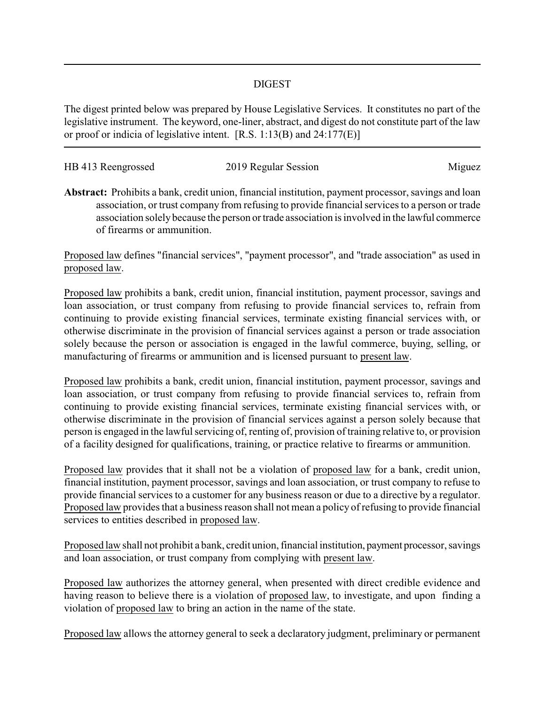## DIGEST

The digest printed below was prepared by House Legislative Services. It constitutes no part of the legislative instrument. The keyword, one-liner, abstract, and digest do not constitute part of the law or proof or indicia of legislative intent. [R.S. 1:13(B) and 24:177(E)]

| HB 413 Reengrossed | 2019 Regular Session |        |
|--------------------|----------------------|--------|
|                    |                      | Miguez |

**Abstract:** Prohibits a bank, credit union, financial institution, payment processor, savings and loan association, or trust company from refusing to provide financial services to a person or trade association solely because the person or trade association is involved in the lawful commerce of firearms or ammunition.

Proposed law defines "financial services", "payment processor", and "trade association" as used in proposed law.

Proposed law prohibits a bank, credit union, financial institution, payment processor, savings and loan association, or trust company from refusing to provide financial services to, refrain from continuing to provide existing financial services, terminate existing financial services with, or otherwise discriminate in the provision of financial services against a person or trade association solely because the person or association is engaged in the lawful commerce, buying, selling, or manufacturing of firearms or ammunition and is licensed pursuant to present law.

Proposed law prohibits a bank, credit union, financial institution, payment processor, savings and loan association, or trust company from refusing to provide financial services to, refrain from continuing to provide existing financial services, terminate existing financial services with, or otherwise discriminate in the provision of financial services against a person solely because that person is engaged in the lawful servicing of, renting of, provision of training relative to, or provision of a facility designed for qualifications, training, or practice relative to firearms or ammunition.

Proposed law provides that it shall not be a violation of proposed law for a bank, credit union, financial institution, payment processor, savings and loan association, or trust company to refuse to provide financial services to a customer for any business reason or due to a directive by a regulator. Proposed law provides that a business reason shall not mean a policy of refusing to provide financial services to entities described in proposed law.

Proposed law shall not prohibit a bank, credit union, financial institution, payment processor, savings and loan association, or trust company from complying with present law.

Proposed law authorizes the attorney general, when presented with direct credible evidence and having reason to believe there is a violation of proposed law, to investigate, and upon finding a violation of proposed law to bring an action in the name of the state.

Proposed law allows the attorney general to seek a declaratory judgment, preliminary or permanent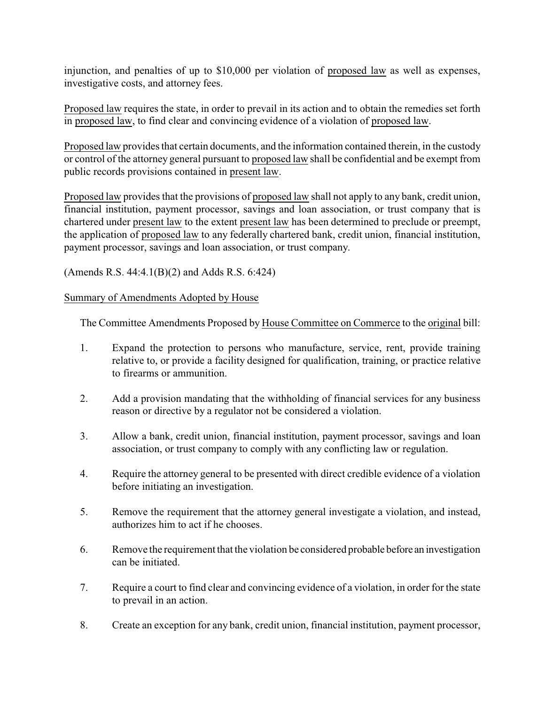injunction, and penalties of up to \$10,000 per violation of proposed law as well as expenses, investigative costs, and attorney fees.

Proposed law requires the state, in order to prevail in its action and to obtain the remedies set forth in proposed law, to find clear and convincing evidence of a violation of proposed law.

Proposed law provides that certain documents, and the information contained therein, in the custody or control of the attorney general pursuant to proposed law shall be confidential and be exempt from public records provisions contained in present law.

Proposed law provides that the provisions of proposed law shall not apply to any bank, credit union, financial institution, payment processor, savings and loan association, or trust company that is chartered under present law to the extent present law has been determined to preclude or preempt, the application of proposed law to any federally chartered bank, credit union, financial institution, payment processor, savings and loan association, or trust company.

(Amends R.S. 44:4.1(B)(2) and Adds R.S. 6:424)

## Summary of Amendments Adopted by House

The Committee Amendments Proposed by House Committee on Commerce to the original bill:

- 1. Expand the protection to persons who manufacture, service, rent, provide training relative to, or provide a facility designed for qualification, training, or practice relative to firearms or ammunition.
- 2. Add a provision mandating that the withholding of financial services for any business reason or directive by a regulator not be considered a violation.
- 3. Allow a bank, credit union, financial institution, payment processor, savings and loan association, or trust company to comply with any conflicting law or regulation.
- 4. Require the attorney general to be presented with direct credible evidence of a violation before initiating an investigation.
- 5. Remove the requirement that the attorney general investigate a violation, and instead, authorizes him to act if he chooses.
- 6. Remove the requirement that the violation be considered probable before an investigation can be initiated.
- 7. Require a court to find clear and convincing evidence of a violation, in order for the state to prevail in an action.
- 8. Create an exception for any bank, credit union, financial institution, payment processor,